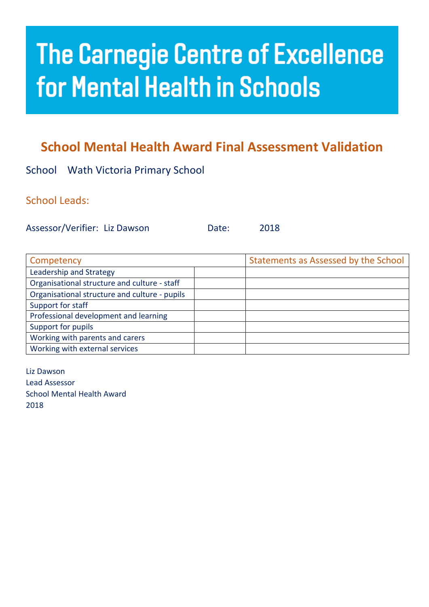## **The Carnegie Centre of Excellence for Mental Health in Schools**

## **School Mental Health Award Final Assessment Validation**

School Wath Victoria Primary School

School Leads:

Assessor/Verifier: Liz Dawson Date: 2018

| Competency                                    | Statements as Assessed by the School |
|-----------------------------------------------|--------------------------------------|
| Leadership and Strategy                       |                                      |
| Organisational structure and culture - staff  |                                      |
| Organisational structure and culture - pupils |                                      |
| Support for staff                             |                                      |
| Professional development and learning         |                                      |
| Support for pupils                            |                                      |
| Working with parents and carers               |                                      |
| Working with external services                |                                      |

Liz Dawson Lead Assessor School Mental Health Award 2018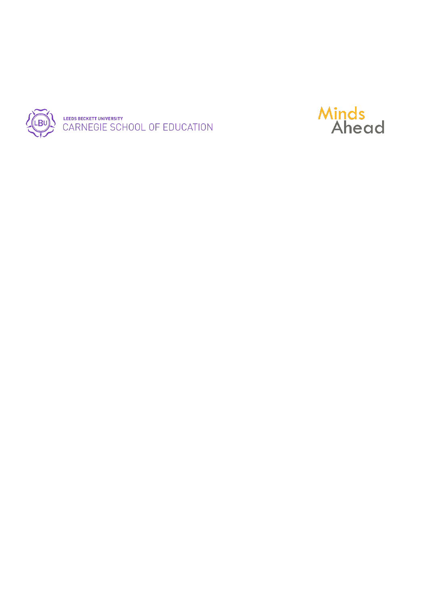

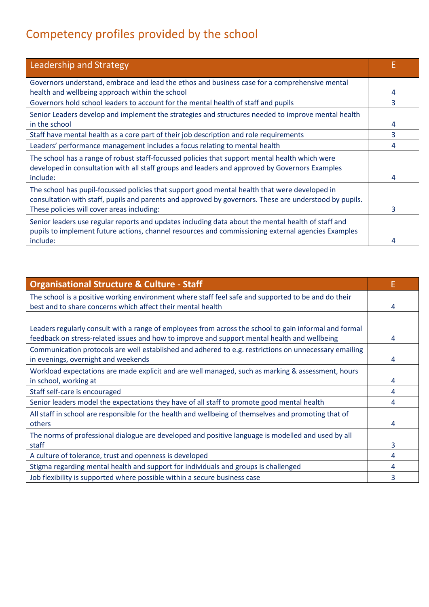## Competency profiles provided by the school

| <b>Leadership and Strategy</b>                                                                                                                                                                           |   |
|----------------------------------------------------------------------------------------------------------------------------------------------------------------------------------------------------------|---|
| Governors understand, embrace and lead the ethos and business case for a comprehensive mental                                                                                                            |   |
| health and wellbeing approach within the school                                                                                                                                                          | 4 |
| Governors hold school leaders to account for the mental health of staff and pupils                                                                                                                       | 3 |
| Senior Leaders develop and implement the strategies and structures needed to improve mental health                                                                                                       |   |
| in the school                                                                                                                                                                                            | 4 |
| Staff have mental health as a core part of their job description and role requirements                                                                                                                   | 3 |
| Leaders' performance management includes a focus relating to mental health                                                                                                                               | 4 |
| The school has a range of robust staff-focussed policies that support mental health which were<br>developed in consultation with all staff groups and leaders and approved by Governors Examples         |   |
| include:                                                                                                                                                                                                 | 4 |
| The school has pupil-focussed policies that support good mental health that were developed in<br>consultation with staff, pupils and parents and approved by governors. These are understood by pupils.  |   |
| These policies will cover areas including:                                                                                                                                                               | 3 |
| Senior leaders use regular reports and updates including data about the mental health of staff and<br>pupils to implement future actions, channel resources and commissioning external agencies Examples |   |
| include:                                                                                                                                                                                                 | Δ |

| <b>Organisational Structure &amp; Culture - Staff</b>                                                                                                                                                  | Е |
|--------------------------------------------------------------------------------------------------------------------------------------------------------------------------------------------------------|---|
| The school is a positive working environment where staff feel safe and supported to be and do their<br>best and to share concerns which affect their mental health                                     | 4 |
|                                                                                                                                                                                                        |   |
| Leaders regularly consult with a range of employees from across the school to gain informal and formal<br>feedback on stress-related issues and how to improve and support mental health and wellbeing | 4 |
| Communication protocols are well established and adhered to e.g. restrictions on unnecessary emailing<br>in evenings, overnight and weekends                                                           | 4 |
| Workload expectations are made explicit and are well managed, such as marking & assessment, hours                                                                                                      |   |
| in school, working at                                                                                                                                                                                  | 4 |
| Staff self-care is encouraged                                                                                                                                                                          | 4 |
| Senior leaders model the expectations they have of all staff to promote good mental health                                                                                                             | 4 |
| All staff in school are responsible for the health and wellbeing of themselves and promoting that of                                                                                                   |   |
| others                                                                                                                                                                                                 | 4 |
| The norms of professional dialogue are developed and positive language is modelled and used by all                                                                                                     |   |
| staff                                                                                                                                                                                                  | 3 |
| A culture of tolerance, trust and openness is developed                                                                                                                                                | 4 |
| Stigma regarding mental health and support for individuals and groups is challenged                                                                                                                    | 4 |
| Job flexibility is supported where possible within a secure business case                                                                                                                              | 3 |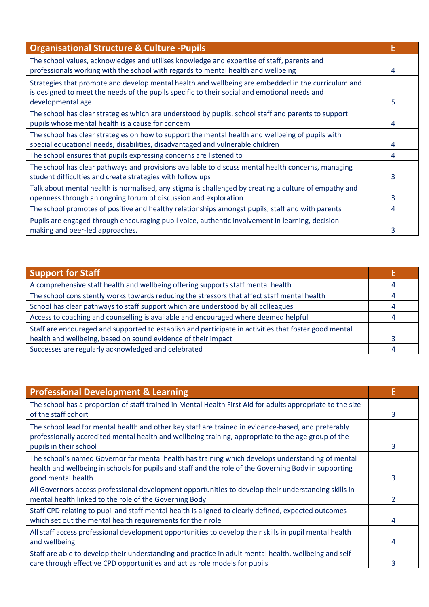| <b>Organisational Structure &amp; Culture - Pupils</b>                                                                                                                                                                  | Е |
|-------------------------------------------------------------------------------------------------------------------------------------------------------------------------------------------------------------------------|---|
| The school values, acknowledges and utilises knowledge and expertise of staff, parents and<br>professionals working with the school with regards to mental health and wellbeing                                         | 4 |
| Strategies that promote and develop mental health and wellbeing are embedded in the curriculum and<br>is designed to meet the needs of the pupils specific to their social and emotional needs and<br>developmental age | 5 |
| The school has clear strategies which are understood by pupils, school staff and parents to support<br>pupils whose mental health is a cause for concern                                                                | 4 |
| The school has clear strategies on how to support the mental health and wellbeing of pupils with<br>special educational needs, disabilities, disadvantaged and vulnerable children                                      | 4 |
| The school ensures that pupils expressing concerns are listened to                                                                                                                                                      | 4 |
| The school has clear pathways and provisions available to discuss mental health concerns, managing<br>student difficulties and create strategies with follow ups                                                        | 3 |
| Talk about mental health is normalised, any stigma is challenged by creating a culture of empathy and<br>openness through an ongoing forum of discussion and exploration                                                | 3 |
| The school promotes of positive and healthy relationships amongst pupils, staff and with parents                                                                                                                        | 4 |
| Pupils are engaged through encouraging pupil voice, authentic involvement in learning, decision<br>making and peer-led approaches.                                                                                      | 3 |

| <b>Support for Staff</b>                                                                              |  |
|-------------------------------------------------------------------------------------------------------|--|
| A comprehensive staff health and wellbeing offering supports staff mental health                      |  |
| The school consistently works towards reducing the stressors that affect staff mental health          |  |
| School has clear pathways to staff support which are understood by all colleagues                     |  |
| Access to coaching and counselling is available and encouraged where deemed helpful                   |  |
| Staff are encouraged and supported to establish and participate in activities that foster good mental |  |
| health and wellbeing, based on sound evidence of their impact                                         |  |
| Successes are regularly acknowledged and celebrated                                                   |  |

| <b>Professional Development &amp; Learning</b>                                                                                                                                                                                       |   |
|--------------------------------------------------------------------------------------------------------------------------------------------------------------------------------------------------------------------------------------|---|
| The school has a proportion of staff trained in Mental Health First Aid for adults appropriate to the size<br>of the staff cohort                                                                                                    | 3 |
| The school lead for mental health and other key staff are trained in evidence-based, and preferably<br>professionally accredited mental health and wellbeing training, appropriate to the age group of the<br>pupils in their school | 3 |
| The school's named Governor for mental health has training which develops understanding of mental<br>health and wellbeing in schools for pupils and staff and the role of the Governing Body in supporting<br>good mental health     | 3 |
| All Governors access professional development opportunities to develop their understanding skills in<br>mental health linked to the role of the Governing Body                                                                       |   |
| Staff CPD relating to pupil and staff mental health is aligned to clearly defined, expected outcomes<br>which set out the mental health requirements for their role                                                                  | 4 |
| All staff access professional development opportunities to develop their skills in pupil mental health<br>and wellbeing                                                                                                              | 4 |
| Staff are able to develop their understanding and practice in adult mental health, wellbeing and self-<br>care through effective CPD opportunities and act as role models for pupils                                                 | 3 |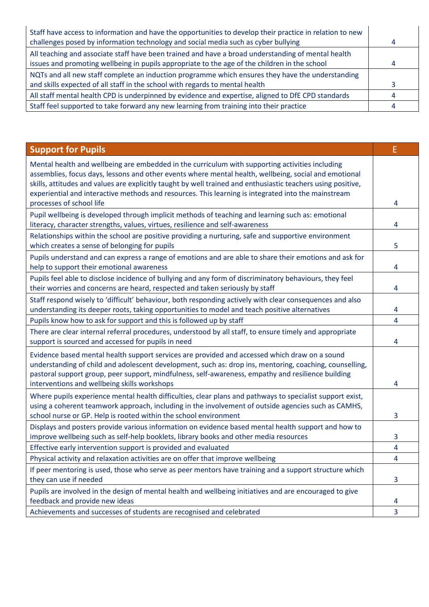| Staff have access to information and have the opportunities to develop their practice in relation to new |   |
|----------------------------------------------------------------------------------------------------------|---|
| challenges posed by information technology and social media such as cyber bullying                       | 4 |
| All teaching and associate staff have been trained and have a broad understanding of mental health       |   |
| issues and promoting wellbeing in pupils appropriate to the age of the children in the school            | Д |
| NQTs and all new staff complete an induction programme which ensures they have the understanding         |   |
| and skills expected of all staff in the school with regards to mental health                             |   |
| All staff mental health CPD is underpinned by evidence and expertise, aligned to DfE CPD standards       | Д |
| Staff feel supported to take forward any new learning from training into their practice                  |   |

| <b>Support for Pupils</b>                                                                                                                                                                                                                                                                                                                                                                                                       | E              |
|---------------------------------------------------------------------------------------------------------------------------------------------------------------------------------------------------------------------------------------------------------------------------------------------------------------------------------------------------------------------------------------------------------------------------------|----------------|
| Mental health and wellbeing are embedded in the curriculum with supporting activities including<br>assemblies, focus days, lessons and other events where mental health, wellbeing, social and emotional<br>skills, attitudes and values are explicitly taught by well trained and enthusiastic teachers using positive,<br>experiential and interactive methods and resources. This learning is integrated into the mainstream |                |
| processes of school life                                                                                                                                                                                                                                                                                                                                                                                                        | 4              |
| Pupil wellbeing is developed through implicit methods of teaching and learning such as: emotional<br>literacy, character strengths, values, virtues, resilience and self-awareness                                                                                                                                                                                                                                              | 4              |
| Relationships within the school are positive providing a nurturing, safe and supportive environment<br>which creates a sense of belonging for pupils                                                                                                                                                                                                                                                                            | 5              |
| Pupils understand and can express a range of emotions and are able to share their emotions and ask for<br>help to support their emotional awareness                                                                                                                                                                                                                                                                             | 4              |
| Pupils feel able to disclose incidence of bullying and any form of discriminatory behaviours, they feel<br>their worries and concerns are heard, respected and taken seriously by staff                                                                                                                                                                                                                                         | 4              |
| Staff respond wisely to 'difficult' behaviour, both responding actively with clear consequences and also<br>understanding its deeper roots, taking opportunities to model and teach positive alternatives                                                                                                                                                                                                                       | 4              |
| Pupils know how to ask for support and this is followed up by staff                                                                                                                                                                                                                                                                                                                                                             | 4              |
| There are clear internal referral procedures, understood by all staff, to ensure timely and appropriate<br>support is sourced and accessed for pupils in need                                                                                                                                                                                                                                                                   | 4              |
| Evidence based mental health support services are provided and accessed which draw on a sound<br>understanding of child and adolescent development, such as: drop ins, mentoring, coaching, counselling,<br>pastoral support group, peer support, mindfulness, self-awareness, empathy and resilience building<br>interventions and wellbeing skills workshops                                                                  | 4              |
| Where pupils experience mental health difficulties, clear plans and pathways to specialist support exist,<br>using a coherent teamwork approach, including in the involvement of outside agencies such as CAMHS,<br>school nurse or GP. Help is rooted within the school environment                                                                                                                                            | 3              |
| Displays and posters provide various information on evidence based mental health support and how to<br>improve wellbeing such as self-help booklets, library books and other media resources                                                                                                                                                                                                                                    | 3              |
| Effective early intervention support is provided and evaluated                                                                                                                                                                                                                                                                                                                                                                  | 4              |
| Physical activity and relaxation activities are on offer that improve wellbeing                                                                                                                                                                                                                                                                                                                                                 | 4              |
| If peer mentoring is used, those who serve as peer mentors have training and a support structure which<br>they can use if needed                                                                                                                                                                                                                                                                                                | 3              |
| Pupils are involved in the design of mental health and wellbeing initiatives and are encouraged to give<br>feedback and provide new ideas                                                                                                                                                                                                                                                                                       | 4              |
| Achievements and successes of students are recognised and celebrated                                                                                                                                                                                                                                                                                                                                                            | $\overline{3}$ |